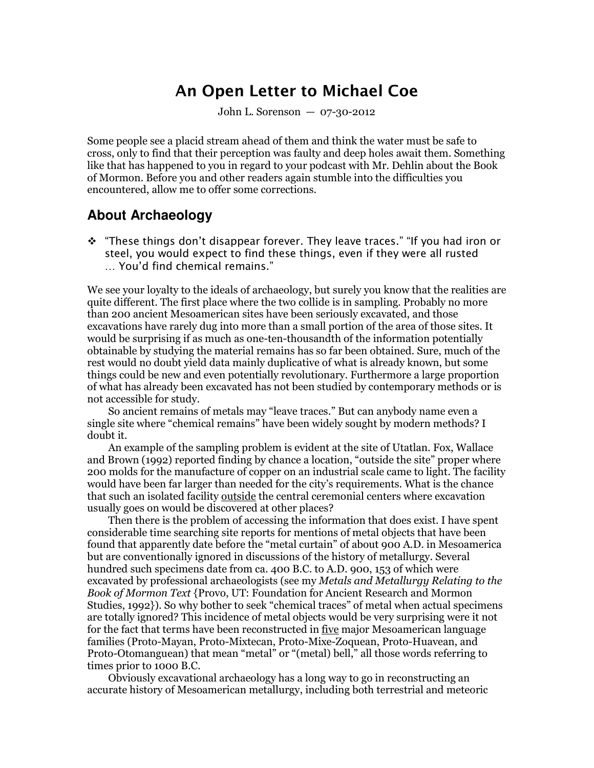# **An Open Letter to Michael Coe**

John L. Sorenson — 07-30-2012

Some people see a placid stream ahead of them and think the water must be safe to cross, only to find that their perception was faulty and deep holes await them. Something like that has happened to you in regard to your podcast with Mr. Dehlin about the Book of Mormon. Before you and other readers again stumble into the difficulties you encountered, allow me to offer some corrections.

## **About Archaeology**

 *"These things don't disappear forever. They leave traces." "If you had iron or steel, you would expect to find these things, even if they were all rusted … You'd find chemical remains."* 

We see your loyalty to the ideals of archaeology, but surely you know that the realities are quite different. The first place where the two collide is in sampling. Probably no more than 200 ancient Mesoamerican sites have been seriously excavated, and those excavations have rarely dug into more than a small portion of the area of those sites. It would be surprising if as much as one-ten-thousandth of the information potentially obtainable by studying the material remains has so far been obtained. Sure, much of the rest would no doubt yield data mainly duplicative of what is already known, but some things could be new and even potentially revolutionary. Furthermore a large proportion of what has already been excavated has not been studied by contemporary methods or is not accessible for study.

 So ancient remains of metals may "leave traces." But can anybody name even a single site where "chemical remains" have been widely sought by modern methods? I doubt it.

 An example of the sampling problem is evident at the site of Utatlan. Fox, Wallace and Brown (1992) reported finding by chance a location, "outside the site" proper where 200 molds for the manufacture of copper on an industrial scale came to light. The facility would have been far larger than needed for the city's requirements. What is the chance that such an isolated facility outside the central ceremonial centers where excavation usually goes on would be discovered at other places?

 Then there is the problem of accessing the information that does exist. I have spent considerable time searching site reports for mentions of metal objects that have been found that apparently date before the "metal curtain" of about 900 A.D. in Mesoamerica but are conventionally ignored in discussions of the history of metallurgy. Several hundred such specimens date from ca. 400 B.C. to A.D. 900, 153 of which were excavated by professional archaeologists (see my *Metals and Metallurgy Relating to the Book of Mormon Text* {Provo, UT: Foundation for Ancient Research and Mormon Studies, 1992}). So why bother to seek "chemical traces" of metal when actual specimens are totally ignored? This incidence of metal objects would be very surprising were it not for the fact that terms have been reconstructed in five major Mesoamerican language families (Proto-Mayan, Proto-Mixtecan, Proto-Mixe-Zoquean, Proto-Huavean, and Proto-Otomanguean) that mean "metal" or "(metal) bell," all those words referring to times prior to 1000 B.C.

 Obviously excavational archaeology has a long way to go in reconstructing an accurate history of Mesoamerican metallurgy, including both terrestrial and meteoric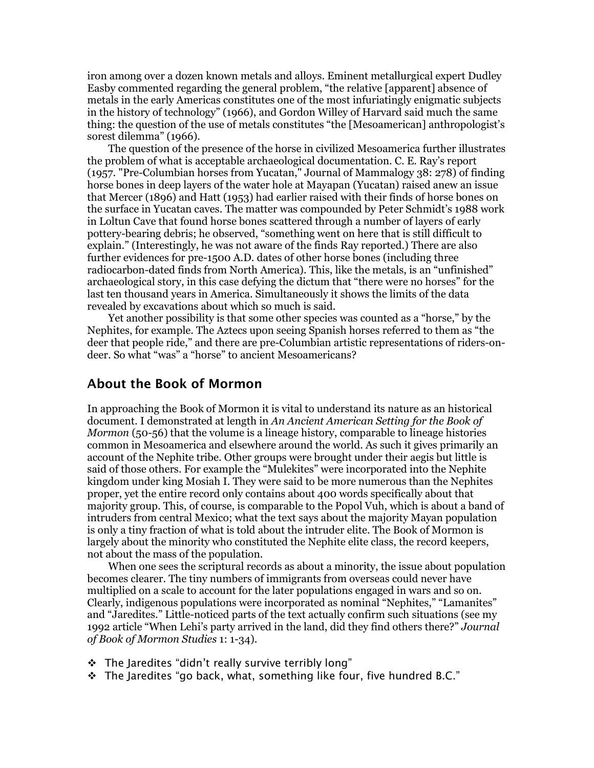iron among over a dozen known metals and alloys. Eminent metallurgical expert Dudley Easby commented regarding the general problem, "the relative [apparent] absence of metals in the early Americas constitutes one of the most infuriatingly enigmatic subjects in the history of technology" (1966), and Gordon Willey of Harvard said much the same thing: the question of the use of metals constitutes "the [Mesoamerican] anthropologist's sorest dilemma" (1966).

 The question of the presence of the horse in civilized Mesoamerica further illustrates the problem of what is acceptable archaeological documentation. C. E. Ray's report (1957. "Pre-Columbian horses from Yucatan," Journal of Mammalogy 38: 278) of finding horse bones in deep layers of the water hole at Mayapan (Yucatan) raised anew an issue that Mercer (1896) and Hatt (1953) had earlier raised with their finds of horse bones on the surface in Yucatan caves. The matter was compounded by Peter Schmidt's 1988 work in Loltun Cave that found horse bones scattered through a number of layers of early pottery-bearing debris; he observed, "something went on here that is still difficult to explain." (Interestingly, he was not aware of the finds Ray reported.) There are also further evidences for pre-1500 A.D. dates of other horse bones (including three radiocarbon-dated finds from North America). This, like the metals, is an "unfinished" archaeological story, in this case defying the dictum that "there were no horses" for the last ten thousand years in America. Simultaneously it shows the limits of the data revealed by excavations about which so much is said.

 Yet another possibility is that some other species was counted as a "horse," by the Nephites, for example. The Aztecs upon seeing Spanish horses referred to them as "the deer that people ride," and there are pre-Columbian artistic representations of riders-ondeer. So what "was" a "horse" to ancient Mesoamericans?

#### **About the Book of Mormon**

In approaching the Book of Mormon it is vital to understand its nature as an historical document. I demonstrated at length in *An Ancient American Setting for the Book of Mormon* (50-56) that the volume is a lineage history, comparable to lineage histories common in Mesoamerica and elsewhere around the world. As such it gives primarily an account of the Nephite tribe. Other groups were brought under their aegis but little is said of those others. For example the "Mulekites" were incorporated into the Nephite kingdom under king Mosiah I. They were said to be more numerous than the Nephites proper, yet the entire record only contains about 400 words specifically about that majority group. This, of course, is comparable to the Popol Vuh, which is about a band of intruders from central Mexico; what the text says about the majority Mayan population is only a tiny fraction of what is told about the intruder elite. The Book of Mormon is largely about the minority who constituted the Nephite elite class, the record keepers, not about the mass of the population.

 When one sees the scriptural records as about a minority, the issue about population becomes clearer. The tiny numbers of immigrants from overseas could never have multiplied on a scale to account for the later populations engaged in wars and so on. Clearly, indigenous populations were incorporated as nominal "Nephites," "Lamanites" and "Jaredites." Little-noticed parts of the text actually confirm such situations (see my 1992 article "When Lehi's party arrived in the land, did they find others there?" *Journal of Book of Mormon Studies* 1: 1-34).

- *The Jaredites "didn't really survive terribly long"*
- *The Jaredites "go back, what, something like four, five hundred B.C."*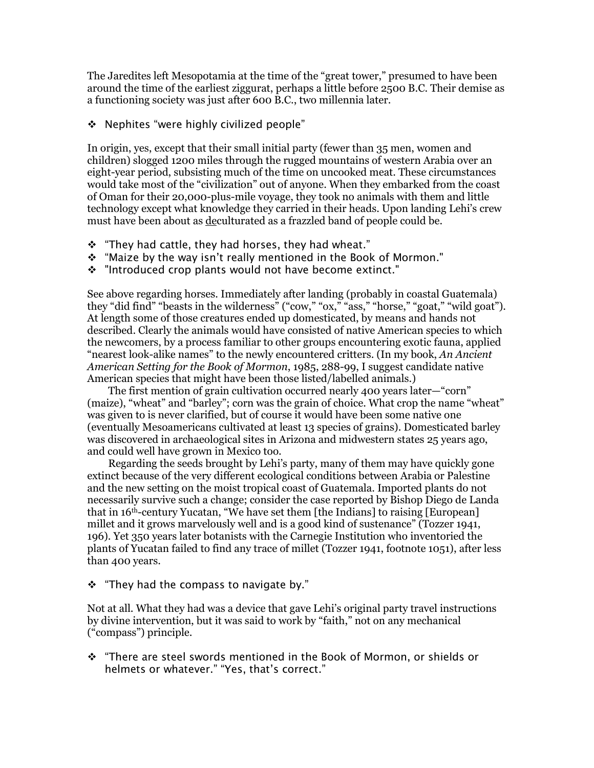The Jaredites left Mesopotamia at the time of the "great tower," presumed to have been around the time of the earliest ziggurat, perhaps a little before 2500 B.C. Their demise as a functioning society was just after 600 B.C., two millennia later.

*Nephites "were highly civilized people"* 

In origin, yes, except that their small initial party (fewer than 35 men, women and children) slogged 1200 miles through the rugged mountains of western Arabia over an eight-year period, subsisting much of the time on uncooked meat. These circumstances would take most of the "civilization" out of anyone. When they embarked from the coast of Oman for their 20,000-plus-mile voyage, they took no animals with them and little technology except what knowledge they carried in their heads. Upon landing Lehi's crew must have been about as deculturated as a frazzled band of people could be.

- *"They had cattle, they had horses, they had wheat."*
- *"Maize by the way isn't really mentioned in the Book of Mormon."*
- *"Introduced crop plants would not have become extinct."*

See above regarding horses. Immediately after landing (probably in coastal Guatemala) they "did find" "beasts in the wilderness" ("cow," "ox," "ass," "horse," "goat," "wild goat"). At length some of those creatures ended up domesticated, by means and hands not described. Clearly the animals would have consisted of native American species to which the newcomers, by a process familiar to other groups encountering exotic fauna, applied "nearest look-alike names" to the newly encountered critters. (In my book, *An Ancient American Setting for the Book of Mormon*, 1985, 288-99, I suggest candidate native American species that might have been those listed/labelled animals.)

 The first mention of grain cultivation occurred nearly 400 years later—"corn" (maize), "wheat" and "barley"; corn was the grain of choice. What crop the name "wheat" was given to is never clarified, but of course it would have been some native one (eventually Mesoamericans cultivated at least 13 species of grains). Domesticated barley was discovered in archaeological sites in Arizona and midwestern states 25 years ago, and could well have grown in Mexico too.

 Regarding the seeds brought by Lehi's party, many of them may have quickly gone extinct because of the very different ecological conditions between Arabia or Palestine and the new setting on the moist tropical coast of Guatemala. Imported plants do not necessarily survive such a change; consider the case reported by Bishop Diego de Landa that in 16th-century Yucatan, "We have set them [the Indians] to raising [European] millet and it grows marvelously well and is a good kind of sustenance" (Tozzer 1941, 196). Yet 350 years later botanists with the Carnegie Institution who inventoried the plants of Yucatan failed to find any trace of millet (Tozzer 1941, footnote 1051), after less than 400 years.

*"They had the compass to navigate by."* 

Not at all. What they had was a device that gave Lehi's original party travel instructions by divine intervention, but it was said to work by "faith," not on any mechanical ("compass") principle.

 *"There are steel swords mentioned in the Book of Mormon, or shields or helmets or whatever." "Yes, that's correct."*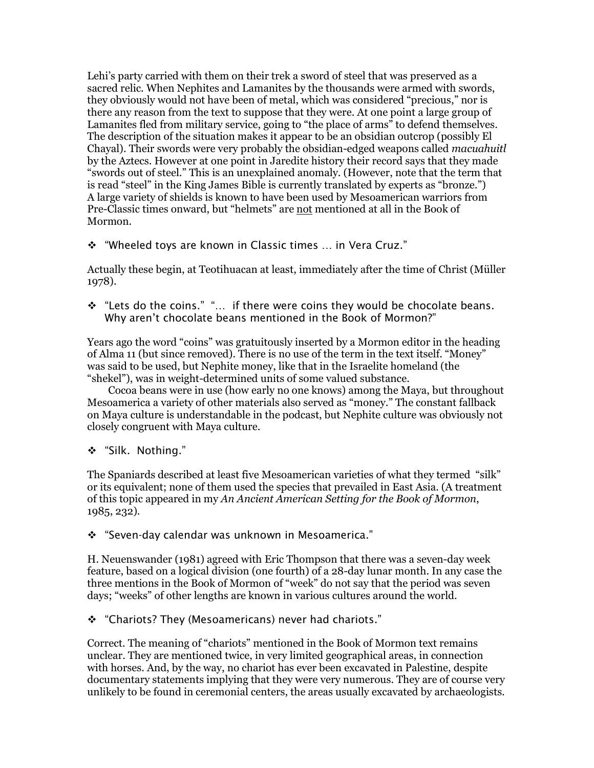Lehi's party carried with them on their trek a sword of steel that was preserved as a sacred relic. When Nephites and Lamanites by the thousands were armed with swords, they obviously would not have been of metal, which was considered "precious," nor is there any reason from the text to suppose that they were. At one point a large group of Lamanites fled from military service, going to "the place of arms" to defend themselves. The description of the situation makes it appear to be an obsidian outcrop (possibly El Chayal). Their swords were very probably the obsidian-edged weapons called *macuahuitl* by the Aztecs. However at one point in Jaredite history their record says that they made "swords out of steel." This is an unexplained anomaly. (However, note that the term that is read "steel" in the King James Bible is currently translated by experts as "bronze.") A large variety of shields is known to have been used by Mesoamerican warriors from Pre-Classic times onward, but "helmets" are not mentioned at all in the Book of Mormon.

*"Wheeled toys are known in Classic times … in Vera Cruz."* 

Actually these begin, at Teotihuacan at least, immediately after the time of Christ (Müller 1978).

 *"Lets do the coins." "… if there were coins they would be chocolate beans. Why aren't chocolate beans mentioned in the Book of Mormon?"* 

Years ago the word "coins" was gratuitously inserted by a Mormon editor in the heading of Alma 11 (but since removed). There is no use of the term in the text itself. "Money" was said to be used, but Nephite money, like that in the Israelite homeland (the "shekel"), was in weight-determined units of some valued substance.

 Cocoa beans were in use (how early no one knows) among the Maya, but throughout Mesoamerica a variety of other materials also served as "money." The constant fallback on Maya culture is understandable in the podcast, but Nephite culture was obviously not closely congruent with Maya culture.

*"Silk. Nothing."* 

The Spaniards described at least five Mesoamerican varieties of what they termed "silk" or its equivalent; none of them used the species that prevailed in East Asia. (A treatment of this topic appeared in my *An Ancient American Setting for the Book of Mormon*, 1985, 232).

*"Seven-day calendar was unknown in Mesoamerica."* 

H. Neuenswander (1981) agreed with Eric Thompson that there was a seven-day week feature, based on a logical division (one fourth) of a 28-day lunar month. In any case the three mentions in the Book of Mormon of "week" do not say that the period was seven days; "weeks" of other lengths are known in various cultures around the world.

*"Chariots? They (Mesoamericans) never had chariots."* 

Correct. The meaning of "chariots" mentioned in the Book of Mormon text remains unclear. They are mentioned twice, in very limited geographical areas, in connection with horses. And, by the way, no chariot has ever been excavated in Palestine, despite documentary statements implying that they were very numerous. They are of course very unlikely to be found in ceremonial centers, the areas usually excavated by archaeologists.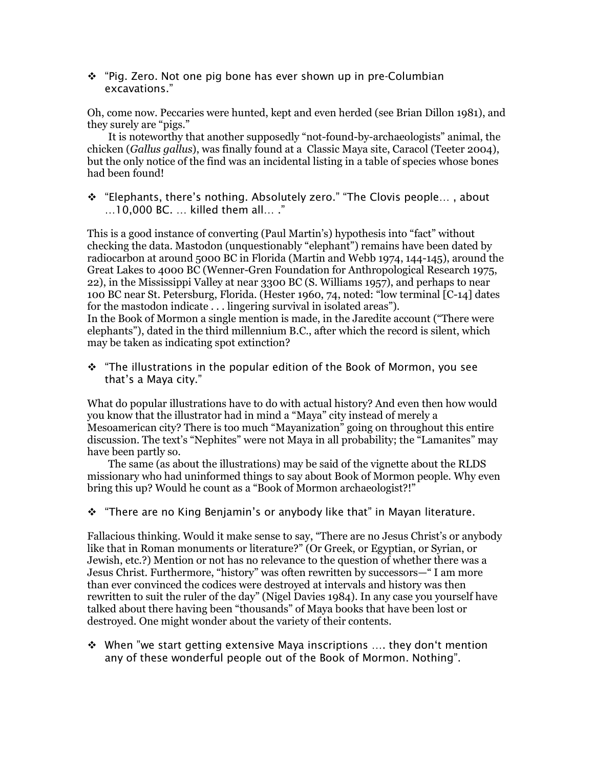*"Pig. Zero. Not one pig bone has ever shown up in pre-Columbian excavations."* 

Oh, come now. Peccaries were hunted, kept and even herded (see Brian Dillon 1981), and they surely are "pigs."

 It is noteworthy that another supposedly "not-found-by-archaeologists" animal, the chicken (*Gallus gallus*), was finally found at a Classic Maya site, Caracol (Teeter 2004), but the only notice of the find was an incidental listing in a table of species whose bones had been found!

 *"Elephants, there's nothing. Absolutely zero." "The Clovis people… , about …10,000 BC. … killed them all… ."* 

This is a good instance of converting (Paul Martin's) hypothesis into "fact" without checking the data. Mastodon (unquestionably "elephant") remains have been dated by radiocarbon at around 5000 BC in Florida (Martin and Webb 1974, 144-145), around the Great Lakes to 4000 BC (Wenner-Gren Foundation for Anthropological Research 1975, 22), in the Mississippi Valley at near 3300 BC (S. Williams 1957), and perhaps to near 100 BC near St. Petersburg, Florida. (Hester 1960, 74, noted: "low terminal [C-14] dates for the mastodon indicate . . . lingering survival in isolated areas"). In the Book of Mormon a single mention is made, in the Jaredite account ("There were elephants"), dated in the third millennium B.C., after which the record is silent, which may be taken as indicating spot extinction?

 *"The illustrations in the popular edition of the Book of Mormon, you see that's a Maya city."* 

What do popular illustrations have to do with actual history? And even then how would you know that the illustrator had in mind a "Maya" city instead of merely a Mesoamerican city? There is too much "Mayanization" going on throughout this entire discussion. The text's "Nephites" were not Maya in all probability; the "Lamanites" may have been partly so.

 The same (as about the illustrations) may be said of the vignette about the RLDS missionary who had uninformed things to say about Book of Mormon people. Why even bring this up? Would he count as a "Book of Mormon archaeologist?!"

*"There are no King Benjamin's or anybody like that" in Mayan literature.* 

Fallacious thinking. Would it make sense to say, "There are no Jesus Christ's or anybody like that in Roman monuments or literature?" (Or Greek, or Egyptian, or Syrian, or Jewish, etc.?) Mention or not has no relevance to the question of whether there was a Jesus Christ. Furthermore, "history" was often rewritten by successors—" I am more than ever convinced the codices were destroyed at intervals and history was then rewritten to suit the ruler of the day" (Nigel Davies 1984). In any case you yourself have talked about there having been "thousands" of Maya books that have been lost or destroyed. One might wonder about the variety of their contents.

 *When "we start getting extensive Maya inscriptions …. they don't mention any of these wonderful people out of the Book of Mormon. Nothing".*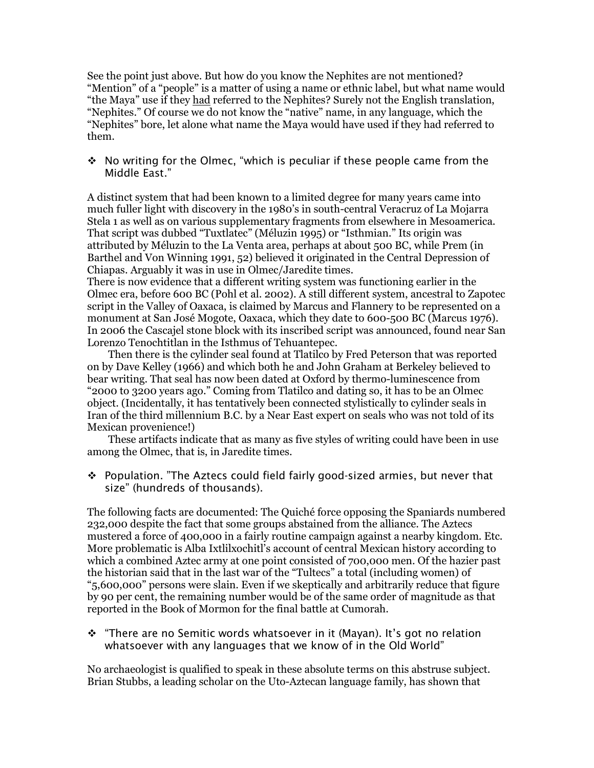See the point just above. But how do you know the Nephites are not mentioned? "Mention" of a "people" is a matter of using a name or ethnic label, but what name would "the Maya" use if they had referred to the Nephites? Surely not the English translation, "Nephites." Of course we do not know the "native" name, in any language, which the "Nephites" bore, let alone what name the Maya would have used if they had referred to them.

 *No writing for the Olmec, "which is peculiar if these people came from the Middle East."* 

A distinct system that had been known to a limited degree for many years came into much fuller light with discovery in the 1980's in south-central Veracruz of La Mojarra Stela 1 as well as on various supplementary fragments from elsewhere in Mesoamerica. That script was dubbed "Tuxtlatec" (Méluzin 1995) or "Isthmian." Its origin was attributed by Méluzin to the La Venta area, perhaps at about 500 BC, while Prem (in Barthel and Von Winning 1991, 52) believed it originated in the Central Depression of Chiapas. Arguably it was in use in Olmec/Jaredite times.

There is now evidence that a different writing system was functioning earlier in the Olmec era, before 600 BC (Pohl et al. 2002). A still different system, ancestral to Zapotec script in the Valley of Oaxaca, is claimed by Marcus and Flannery to be represented on a monument at San José Mogote, Oaxaca, which they date to 600-500 BC (Marcus 1976). In 2006 the Cascajel stone block with its inscribed script was announced, found near San Lorenzo Tenochtitlan in the Isthmus of Tehuantepec.

 Then there is the cylinder seal found at Tlatilco by Fred Peterson that was reported on by Dave Kelley (1966) and which both he and John Graham at Berkeley believed to bear writing. That seal has now been dated at Oxford by thermo-luminescence from "2000 to 3200 years ago." Coming from Tlatilco and dating so, it has to be an Olmec object. (Incidentally, it has tentatively been connected stylistically to cylinder seals in Iran of the third millennium B.C. by a Near East expert on seals who was not told of its Mexican provenience!)

 These artifacts indicate that as many as five styles of writing could have been in use among the Olmec, that is, in Jaredite times.

 *Population. "The Aztecs could field fairly good-sized armies, but never that size" (hundreds of thousands).* 

The following facts are documented: The Quiché force opposing the Spaniards numbered 232,000 despite the fact that some groups abstained from the alliance. The Aztecs mustered a force of 400,000 in a fairly routine campaign against a nearby kingdom. Etc. More problematic is Alba Ixtlilxochitl's account of central Mexican history according to which a combined Aztec army at one point consisted of 700,000 men. Of the hazier past the historian said that in the last war of the "Tultecs" a total (including women) of "5,600,000" persons were slain. Even if we skeptically and arbitrarily reduce that figure by 90 per cent, the remaining number would be of the same order of magnitude as that reported in the Book of Mormon for the final battle at Cumorah.

 *"There are no Semitic words whatsoever in it (Mayan). It's got no relation whatsoever with any languages that we know of in the Old World"* 

No archaeologist is qualified to speak in these absolute terms on this abstruse subject. Brian Stubbs, a leading scholar on the Uto-Aztecan language family, has shown that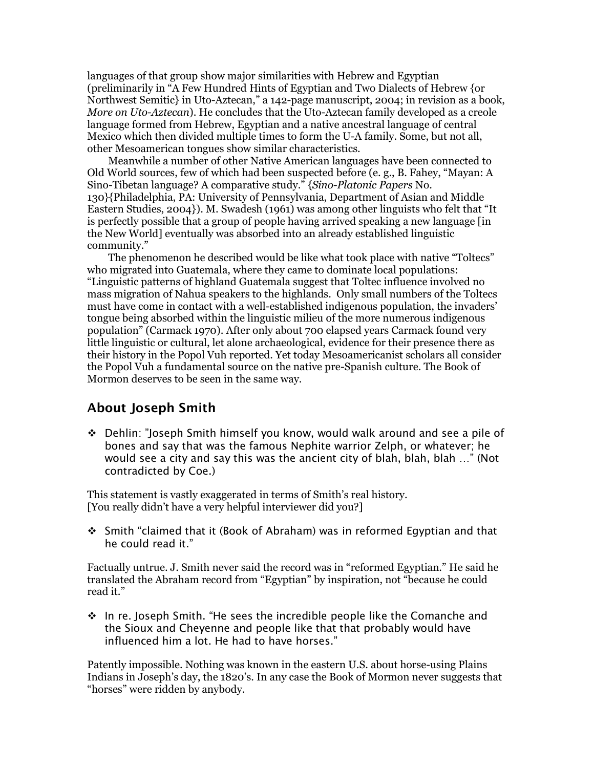languages of that group show major similarities with Hebrew and Egyptian (preliminarily in "A Few Hundred Hints of Egyptian and Two Dialects of Hebrew {or Northwest Semitic} in Uto-Aztecan," a 142-page manuscript, 2004; in revision as a book, *More on Uto-Aztecan*). He concludes that the Uto-Aztecan family developed as a creole language formed from Hebrew, Egyptian and a native ancestral language of central Mexico which then divided multiple times to form the U-A family. Some, but not all, other Mesoamerican tongues show similar characteristics.

 Meanwhile a number of other Native American languages have been connected to Old World sources, few of which had been suspected before (e. g., B. Fahey, "Mayan: A Sino-Tibetan language? A comparative study." {*Sino-Platonic Papers* No. 130}{Philadelphia, PA: University of Pennsylvania, Department of Asian and Middle Eastern Studies, 2004}). M. Swadesh (1961) was among other linguists who felt that "It is perfectly possible that a group of people having arrived speaking a new language [in the New World] eventually was absorbed into an already established linguistic community."

 The phenomenon he described would be like what took place with native "Toltecs" who migrated into Guatemala, where they came to dominate local populations: "Linguistic patterns of highland Guatemala suggest that Toltec influence involved no mass migration of Nahua speakers to the highlands. Only small numbers of the Toltecs must have come in contact with a well-established indigenous population, the invaders' tongue being absorbed within the linguistic milieu of the more numerous indigenous population" (Carmack 1970). After only about 700 elapsed years Carmack found very little linguistic or cultural, let alone archaeological, evidence for their presence there as their history in the Popol Vuh reported. Yet today Mesoamericanist scholars all consider the Popol Vuh a fundamental source on the native pre-Spanish culture. The Book of Mormon deserves to be seen in the same way.

## **About Joseph Smith**

 *Dehlin: "Joseph Smith himself you know, would walk around and see a pile of bones and say that was the famous Nephite warrior Zelph, or whatever; he would see a city and say this was the ancient city of blah, blah, blah …" (Not contradicted by Coe.)* 

This statement is vastly exaggerated in terms of Smith's real history. [You really didn't have a very helpful interviewer did you?]

 *Smith "claimed that it (Book of Abraham) was in reformed Egyptian and that he could read it."* 

Factually untrue. J. Smith never said the record was in "reformed Egyptian." He said he translated the Abraham record from "Egyptian" by inspiration, not "because he could read it."

 *In re. Joseph Smith. "He sees the incredible people like the Comanche and the Sioux and Cheyenne and people like that that probably would have influenced him a lot. He had to have horses."* 

Patently impossible. Nothing was known in the eastern U.S. about horse-using Plains Indians in Joseph's day, the 1820's. In any case the Book of Mormon never suggests that "horses" were ridden by anybody.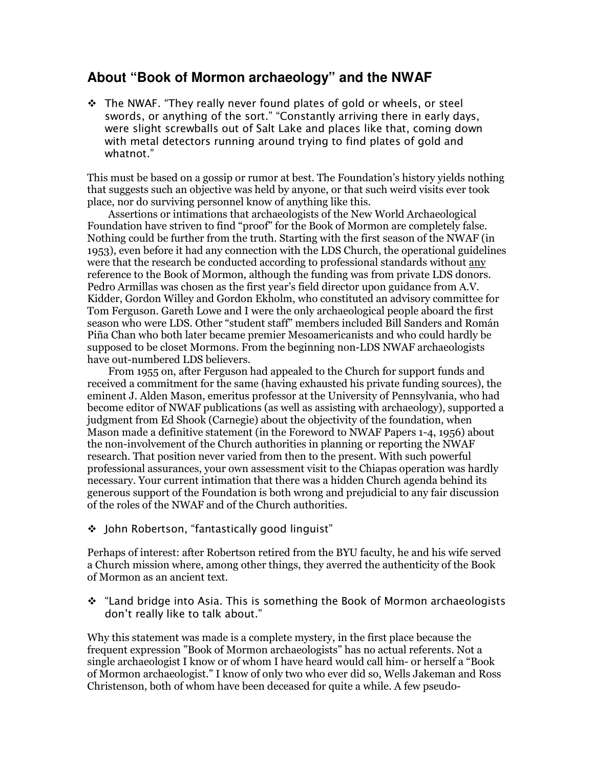## **About "Book of Mormon archaeology" and the NWAF**

 *The NWAF. "They really never found plates of gold or wheels, or steel swords, or anything of the sort." "Constantly arriving there in early days, were slight screwballs out of Salt Lake and places like that, coming down with metal detectors running around trying to find plates of gold and whatnot."* 

This must be based on a gossip or rumor at best. The Foundation's history yields nothing that suggests such an objective was held by anyone, or that such weird visits ever took place, nor do surviving personnel know of anything like this.

 Assertions or intimations that archaeologists of the New World Archaeological Foundation have striven to find "proof" for the Book of Mormon are completely false. Nothing could be further from the truth. Starting with the first season of the NWAF (in 1953), even before it had any connection with the LDS Church, the operational guidelines were that the research be conducted according to professional standards without any reference to the Book of Mormon, although the funding was from private LDS donors. Pedro Armillas was chosen as the first year's field director upon guidance from A.V. Kidder, Gordon Willey and Gordon Ekholm, who constituted an advisory committee for Tom Ferguson. Gareth Lowe and I were the only archaeological people aboard the first season who were LDS. Other "student staff" members included Bill Sanders and Román Piña Chan who both later became premier Mesoamericanists and who could hardly be supposed to be closet Mormons. From the beginning non-LDS NWAF archaeologists have out-numbered LDS believers.

 From 1955 on, after Ferguson had appealed to the Church for support funds and received a commitment for the same (having exhausted his private funding sources), the eminent J. Alden Mason, emeritus professor at the University of Pennsylvania, who had become editor of NWAF publications (as well as assisting with archaeology), supported a judgment from Ed Shook (Carnegie) about the objectivity of the foundation, when Mason made a definitive statement (in the Foreword to NWAF Papers 1-4, 1956) about the non-involvement of the Church authorities in planning or reporting the NWAF research. That position never varied from then to the present. With such powerful professional assurances, your own assessment visit to the Chiapas operation was hardly necessary. Your current intimation that there was a hidden Church agenda behind its generous support of the Foundation is both wrong and prejudicial to any fair discussion of the roles of the NWAF and of the Church authorities.

*John Robertson, "fantastically good linguist"* 

Perhaps of interest: after Robertson retired from the BYU faculty, he and his wife served a Church mission where, among other things, they averred the authenticity of the Book of Mormon as an ancient text.

 *"Land bridge into Asia. This is something the Book of Mormon archaeologists don't really like to talk about."* 

Why this statement was made is a complete mystery, in the first place because the frequent expression "Book of Mormon archaeologists" has no actual referents. Not a single archaeologist I know or of whom I have heard would call him- or herself a "Book of Mormon archaeologist." I know of only two who ever did so, Wells Jakeman and Ross Christenson, both of whom have been deceased for quite a while. A few pseudo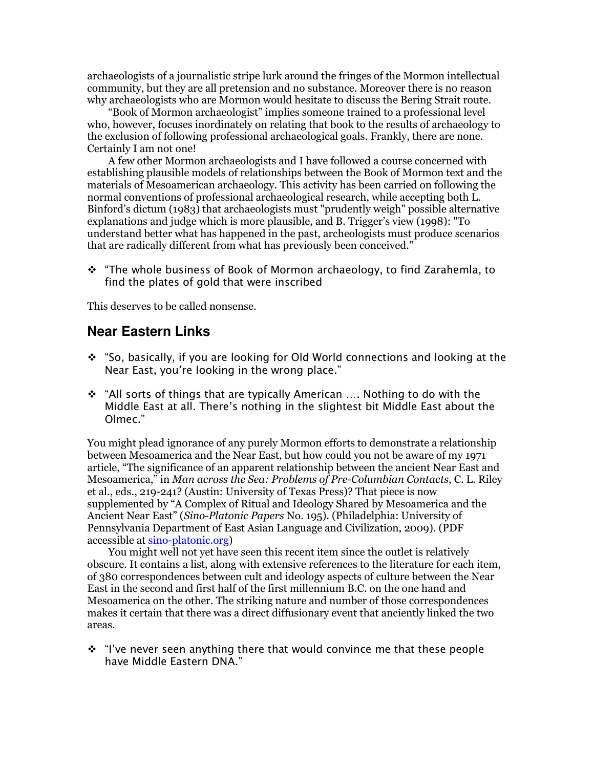archaeologists of a journalistic stripe lurk around the fringes of the Mormon intellectual community, but they are all pretension and no substance. Moreover there is no reason why archaeologists who are Mormon would hesitate to discuss the Bering Strait route.

 "Book of Mormon archaeologist" implies someone trained to a professional level who, however, focuses inordinately on relating that book to the results of archaeology to the exclusion of following professional archaeological goals. Frankly, there are none. Certainly I am not one!

 A few other Mormon archaeologists and I have followed a course concerned with establishing plausible models of relationships between the Book of Mormon text and the materials of Mesoamerican archaeology. This activity has been carried on following the normal conventions of professional archaeological research, while accepting both L. Binford's dictum (1983) that archaeologists must "prudently weigh" possible alternative explanations and judge which is more plausible, and B. Trigger's view (1998): "To understand better what has happened in the past, archeologists must produce scenarios that are radically different from what has previously been conceived."

 *"The whole business of Book of Mormon archaeology, to find Zarahemla, to find the plates of gold that were inscribed* 

This deserves to be called nonsense.

#### **Near Eastern Links**

- *"So, basically, if you are looking for Old World connections and looking at the Near East, you're looking in the wrong place."*
- *"All sorts of things that are typically American …. Nothing to do with the Middle East at all. There's nothing in the slightest bit Middle East about the Olmec."*

You might plead ignorance of any purely Mormon efforts to demonstrate a relationship between Mesoamerica and the Near East, but how could you not be aware of my 1971 article, "The significance of an apparent relationship between the ancient Near East and Mesoamerica," in *Man across the Sea: Problems of Pre-Columbian Contacts*, C. L. Riley et al., eds., 219-241? (Austin: University of Texas Press)? That piece is now supplemented by "A Complex of Ritual and Ideology Shared by Mesoamerica and the Ancient Near East" (*Sino-Platonic Papers* No. 195). (Philadelphia: University of Pennsylvania Department of East Asian Language and Civilization, 2009). (PDF accessible at sino-platonic.org)

 You might well not yet have seen this recent item since the outlet is relatively obscure. It contains a list, along with extensive references to the literature for each item, of 380 correspondences between cult and ideology aspects of culture between the Near East in the second and first half of the first millennium B.C. on the one hand and Mesoamerica on the other. The striking nature and number of those correspondences makes it certain that there was a direct diffusionary event that anciently linked the two areas.

 *"I've never seen anything there that would convince me that these people have Middle Eastern DNA."*